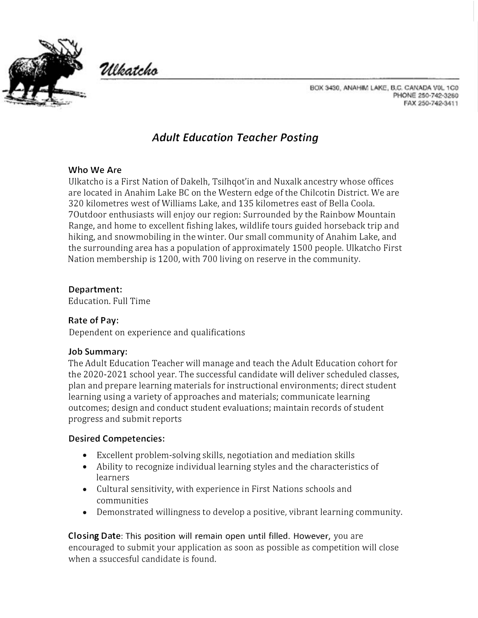



BOX 3430, ANAHIM LAKE, B.C. CANADA VOL 1C0 PHONE 250-742-3260 FAX 250-742-3411

# *Adult Education Teacher Posting*

#### **Who We Are**

Ulkatcho is a First Nation of Dakelh, Tsilhqot'in and Nuxalk ancestry whose offices are located in Anahim Lake BC on the Western edge of the Chilcotin District. We are 320 kilometres west of Williams Lake, and 135 kilometres east of Bella Coola. 7Outdoor enthusiasts will enjoy our region: Surrounded by the Rainbow Mountain Range, and home to excellent fishing lakes, wildlife tours guided horseback trip and hiking, and snowmobiling in the winter. Our small community of Anahim Lake, and the surrounding area has a population of approximately 1500 people. Ulkatcho First Nation membership is 1200, with 700 living on reserve in the community.

## **Department:**

Education. Full Time

# **Rate of Pay:**

Dependent on experience and qualifications

#### **Job Summary:**

The Adult Education Teacher will manage and teach the Adult Education cohort for the 2020-2021 school year. The successful candidate will deliver scheduled classes, plan and prepare learning materials for instructional environments; direct student learning using a variety of approaches and materials; communicate learning outcomes; design and conduct student evaluations; maintain records of student progress and submit reports

#### **Desired Competencies:**

- Excellent problem-solving skills, negotiation and mediation skills
- Ability to recognize individual learning styles and the characteristics of learners
- Cultural sensitivity, with experience in First Nations schools and communities
- Demonstrated willingness to develop a positive, vibrant learning community.

**Closing Date:** This position will remain open until filled. However, you are encouraged to submit your application as soon as possible as competition will close when a ssuccesful candidate is found.